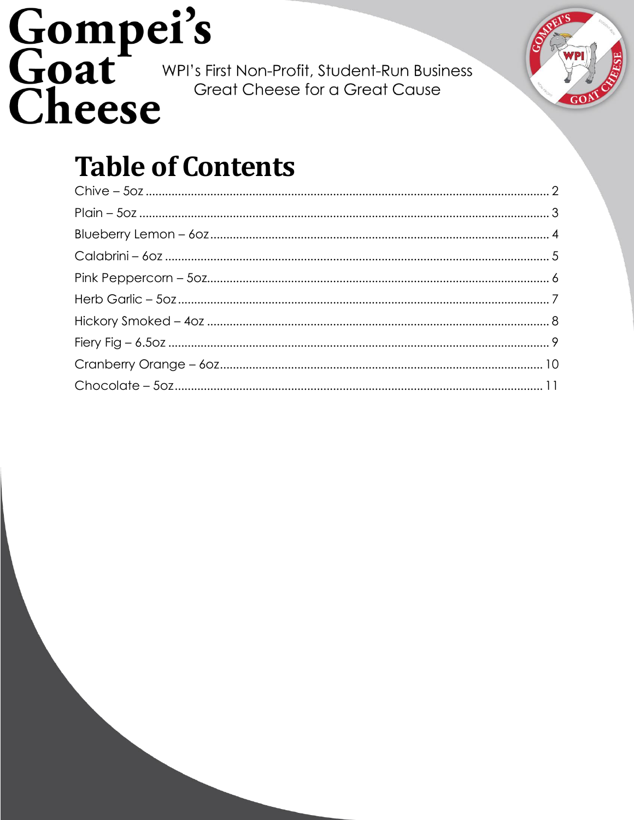# **Gompei's**<br>
Goat<br> *Cheese*<br> *Cheese*<br> *Cheese*<br> *Cheese*<br> *Cheese*<br> *Cheese*



### **Table of Contents**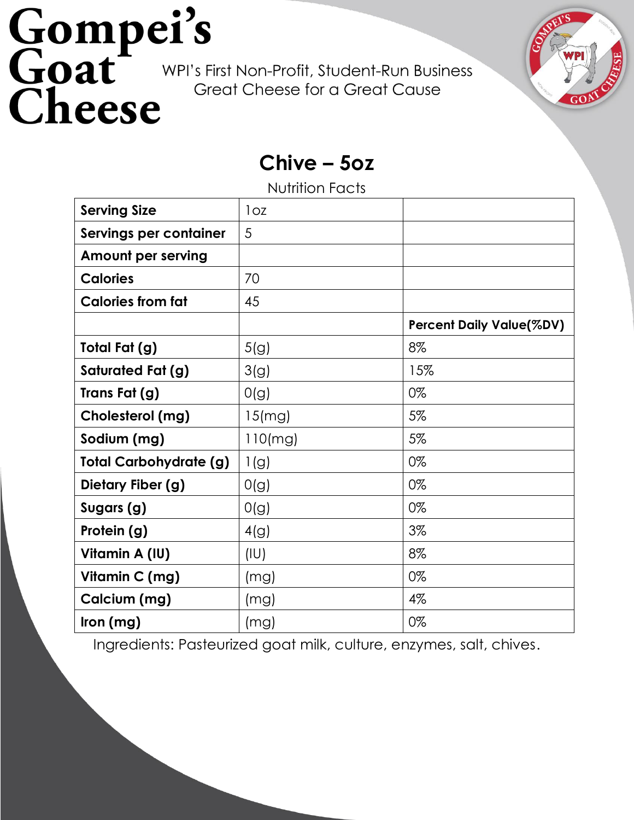

#### **Chive – 5oz**

Nutrition Facts

<span id="page-1-0"></span>

| <b>Serving Size</b>           | 1oz     |                                 |
|-------------------------------|---------|---------------------------------|
| Servings per container        | 5       |                                 |
| <b>Amount per serving</b>     |         |                                 |
| <b>Calories</b>               | 70      |                                 |
| <b>Calories from fat</b>      | 45      |                                 |
|                               |         | <b>Percent Daily Value(%DV)</b> |
| Total Fat (g)                 | 5(g)    | 8%                              |
| Saturated Fat (g)             | 3(g)    | 15%                             |
| Trans Fat (g)                 | O(g)    | 0%                              |
| Cholesterol (mg)              | 15(mg)  | 5%                              |
| Sodium (mg)                   | 110(mg) | 5%                              |
| <b>Total Carbohydrate (g)</b> | 1(g)    | 0%                              |
| Dietary Fiber (g)             | O(g)    | 0%                              |
| Sugars (g)                    | O(g)    | 0%                              |
| Protein (g)                   | 4(g)    | 3%                              |
| Vitamin A (IU)                | (IU)    | 8%                              |
| Vitamin C (mg)                | (mg)    | 0%                              |
| Calcium (mg)                  | (mg)    | $4\%$                           |
| lron (mg)                     | (mg)    | 0%                              |

Ingredients: Pasteurized goat milk, culture, enzymes, salt, chives.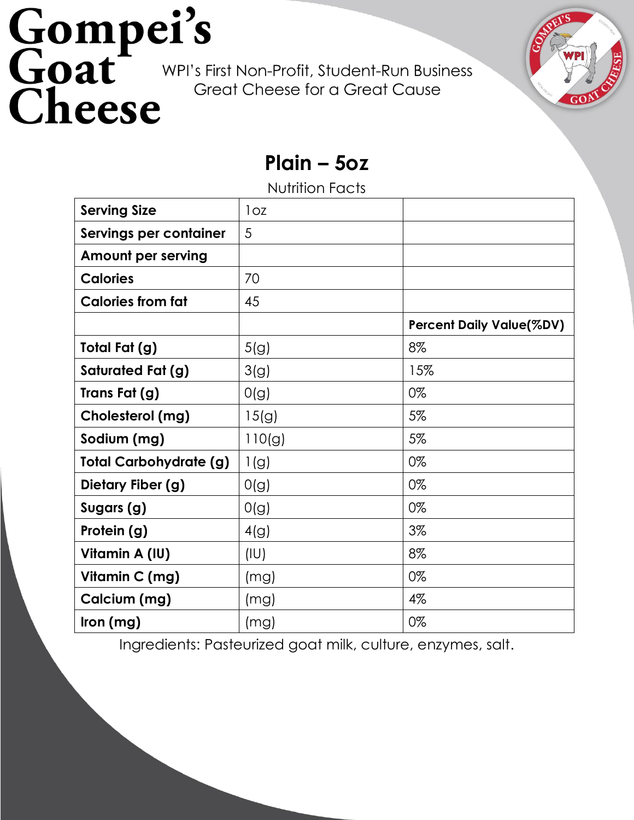

#### **Plain – 5oz**

Nutrition Facts

<span id="page-2-0"></span>

| <b>Serving Size</b>           | 1 <sub>OZ</sub> |                                 |
|-------------------------------|-----------------|---------------------------------|
| Servings per container        | 5               |                                 |
| Amount per serving            |                 |                                 |
| <b>Calories</b>               | 70              |                                 |
| <b>Calories from fat</b>      | 45              |                                 |
|                               |                 | <b>Percent Daily Value(%DV)</b> |
| Total Fat (g)                 | 5(g)            | 8%                              |
| Saturated Fat (g)             | 3(g)            | 15%                             |
| Trans Fat (g)                 | O(g)            | 0%                              |
| Cholesterol (mg)              | 15(g)           | 5%                              |
| Sodium (mg)                   | 110(g)          | 5%                              |
| <b>Total Carbohydrate (g)</b> | 1(g)            | 0%                              |
| Dietary Fiber (g)             | O(g)            | 0%                              |
| Sugars (g)                    | O(g)            | 0%                              |
| Protein (g)                   | 4(g)            | 3%                              |
| Vitamin A (IU)                | (IU)            | 8%                              |
| Vitamin C (mg)                | (mg)            | 0%                              |
| Calcium (mg)                  | (mg)            | 4%                              |
| lron (mg)                     | (mg)            | 0%                              |

Ingredients: Pasteurized goat milk, culture, enzymes, salt.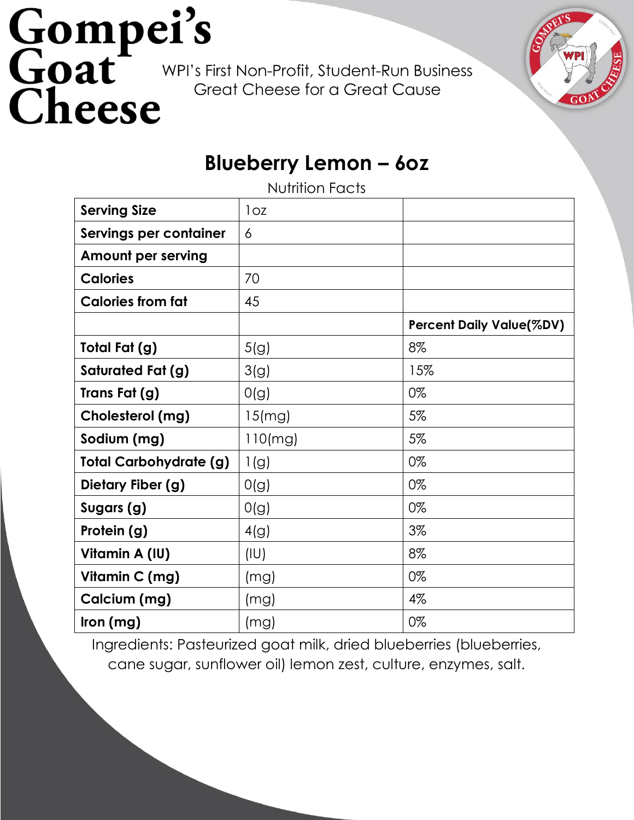### **Gompei's**<br>
Goat<br> *Cheese* for a Great Cause<br> *Cheese*<br> *Cheese*



#### **Blueberry Lemon – 6oz**

Nutrition Facts

<span id="page-3-0"></span>

| <b>Serving Size</b>           | 1 <sub>OZ</sub> |                                 |
|-------------------------------|-----------------|---------------------------------|
| Servings per container        | 6               |                                 |
| <b>Amount per serving</b>     |                 |                                 |
| <b>Calories</b>               | 70              |                                 |
| <b>Calories from fat</b>      | 45              |                                 |
|                               |                 | <b>Percent Daily Value(%DV)</b> |
| Total Fat (g)                 | 5(g)            | 8%                              |
| Saturated Fat (g)             | 3(g)            | 15%                             |
| Trans Fat (g)                 | O(g)            | 0%                              |
| Cholesterol (mg)              | 15(mg)          | 5%                              |
| Sodium (mg)                   | $110$ (mg)      | 5%                              |
| <b>Total Carbohydrate (g)</b> | 1(g)            | 0%                              |
| Dietary Fiber (g)             | O(g)            | 0%                              |
| Sugars (g)                    | O(g)            | 0%                              |
| Protein (g)                   | 4(g)            | 3%                              |
| Vitamin A (IU)                | (IU)            | 8%                              |
| Vitamin C (mg)                | (mg)            | 0%                              |
| Calcium (mg)                  | (mg)            | $4\%$                           |
| lron (mg)                     | (mg)            | 0%                              |

Ingredients: Pasteurized goat milk, dried blueberries (blueberries, cane sugar, sunflower oil) lemon zest, culture, enzymes, salt.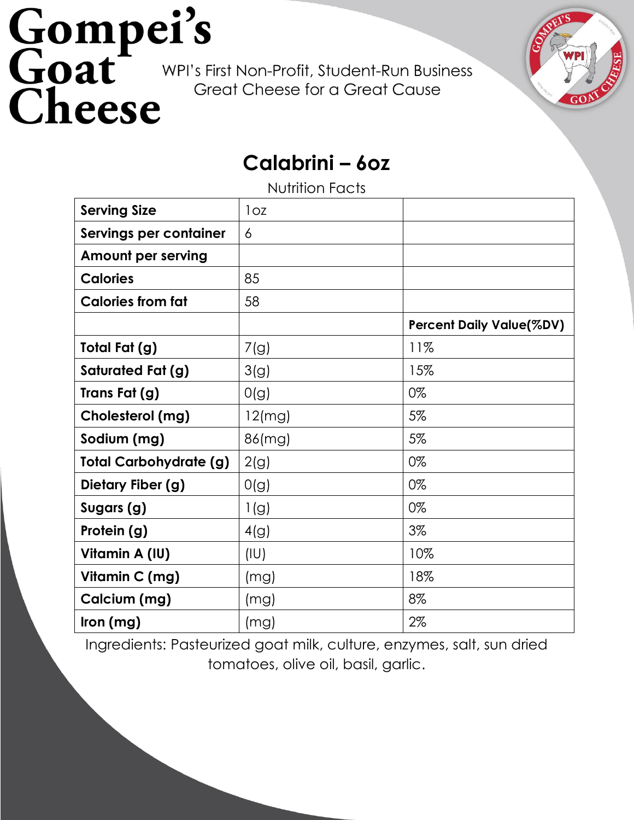

#### **Calabrini – 6oz**

Nutrition Facts

<span id="page-4-0"></span>

| <b>Serving Size</b>           | 1 <sub>OZ</sub> |                                 |
|-------------------------------|-----------------|---------------------------------|
| Servings per container        | 6               |                                 |
| <b>Amount per serving</b>     |                 |                                 |
| <b>Calories</b>               | 85              |                                 |
| <b>Calories from fat</b>      | 58              |                                 |
|                               |                 | <b>Percent Daily Value(%DV)</b> |
| Total Fat (g)                 | 7(g)            | 11%                             |
| Saturated Fat (g)             | 3(g)            | 15%                             |
| Trans Fat (g)                 | O(g)            | 0%                              |
| Cholesterol (mg)              | $12$ (mg)       | 5%                              |
| Sodium (mg)                   | 86(mg)          | 5%                              |
| <b>Total Carbohydrate (g)</b> | 2(g)            | 0%                              |
| Dietary Fiber (g)             | O(g)            | 0%                              |
| Sugars (g)                    | 1(g)            | 0%                              |
| Protein (g)                   | 4(g)            | 3%                              |
| Vitamin A (IU)                | (IU)            | 10%                             |
| Vitamin C (mg)                | (mg)            | 18%                             |
| Calcium (mg)                  | (mg)            | 8%                              |
| lron (mg)                     | (mg)            | 2%                              |

Ingredients: Pasteurized goat milk, culture, enzymes, salt, sun dried tomatoes, olive oil, basil, garlic.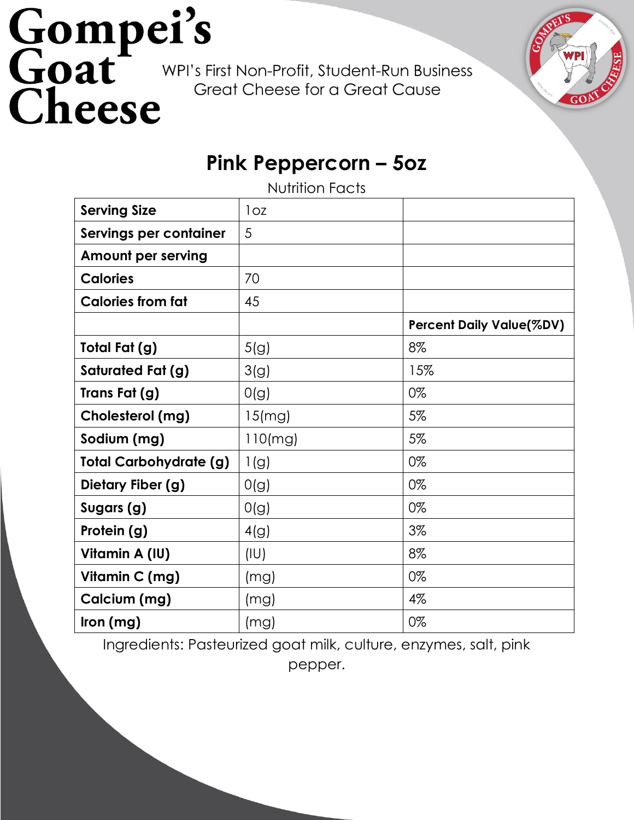

### **Pink Peppercorn – 5oz**

Nutrition Facts

<span id="page-5-0"></span>

| <b>Serving Size</b>           | 1oz        |                                 |
|-------------------------------|------------|---------------------------------|
| Servings per container        | 5          |                                 |
| <b>Amount per serving</b>     |            |                                 |
| <b>Calories</b>               | 70         |                                 |
| <b>Calories from fat</b>      | 45         |                                 |
|                               |            | <b>Percent Daily Value(%DV)</b> |
| Total Fat (g)                 | 5(g)       | 8%                              |
| Saturated Fat (g)             | 3(g)       | 15%                             |
| Trans Fat (g)                 | O(g)       | 0%                              |
| Cholesterol (mg)              | 15(mg)     | 5%                              |
| Sodium (mg)                   | $110$ (mg) | 5%                              |
| <b>Total Carbohydrate (g)</b> | 1(g)       | 0%                              |
| Dietary Fiber (g)             | O(g)       | 0%                              |
| Sugars (g)                    | O(g)       | 0%                              |
| Protein (g)                   | 4(g)       | 3%                              |
| Vitamin A (IU)                | (IU)       | 8%                              |
| Vitamin C (mg)                | (mg)       | 0%                              |
| Calcium (mg)                  | (mg)       | 4%                              |
| Iron (mg)                     | (mg)       | 0%                              |

Ingredients: Pasteurized goat milk, culture, enzymes, salt, pink pepper.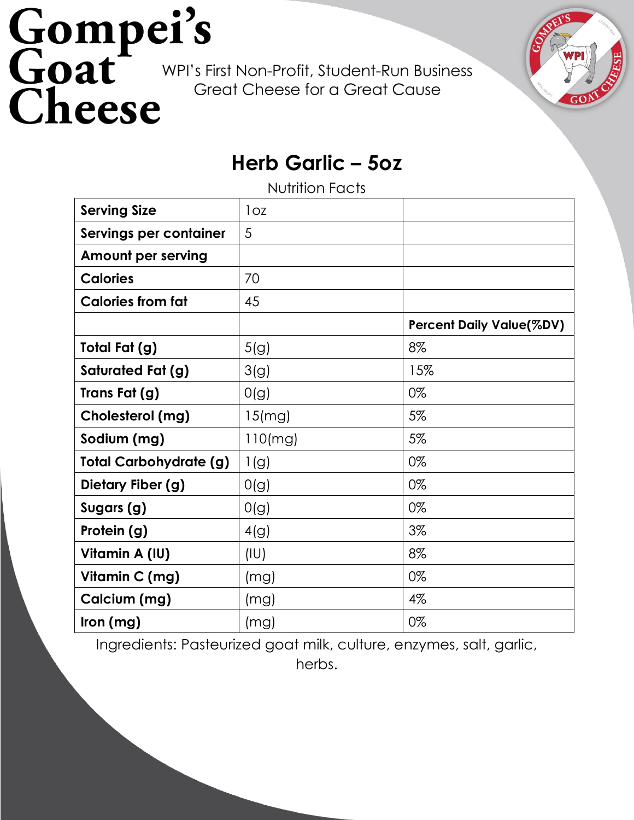

### **Herb Garlic – 5oz**

Nutrition Facts

<span id="page-6-0"></span>

| <b>Serving Size</b>           | loz     |                                 |
|-------------------------------|---------|---------------------------------|
| Servings per container        | 5       |                                 |
| <b>Amount per serving</b>     |         |                                 |
| <b>Calories</b>               | 70      |                                 |
| <b>Calories from fat</b>      | 45      |                                 |
|                               |         | <b>Percent Daily Value(%DV)</b> |
| Total Fat (g)                 | 5(g)    | 8%                              |
| Saturated Fat (g)             | 3(g)    | 15%                             |
| Trans Fat (g)                 | O(g)    | 0%                              |
| Cholesterol (mg)              | 15(mg)  | 5%                              |
| Sodium (mg)                   | 110(mg) | 5%                              |
| <b>Total Carbohydrate (g)</b> | 1(g)    | 0%                              |
| Dietary Fiber (g)             | O(g)    | 0%                              |
| Sugars (g)                    | O(g)    | 0%                              |
| Protein (g)                   | 4(g)    | 3%                              |
| Vitamin A (IU)                | (IU)    | 8%                              |
| Vitamin C (mg)                | (mg)    | 0%                              |
| Calcium (mg)                  | (mg)    | 4%                              |
| lron (mg)                     | (mg)    | 0%                              |

Ingredients: Pasteurized goat milk, culture, enzymes, salt, garlic,

herbs.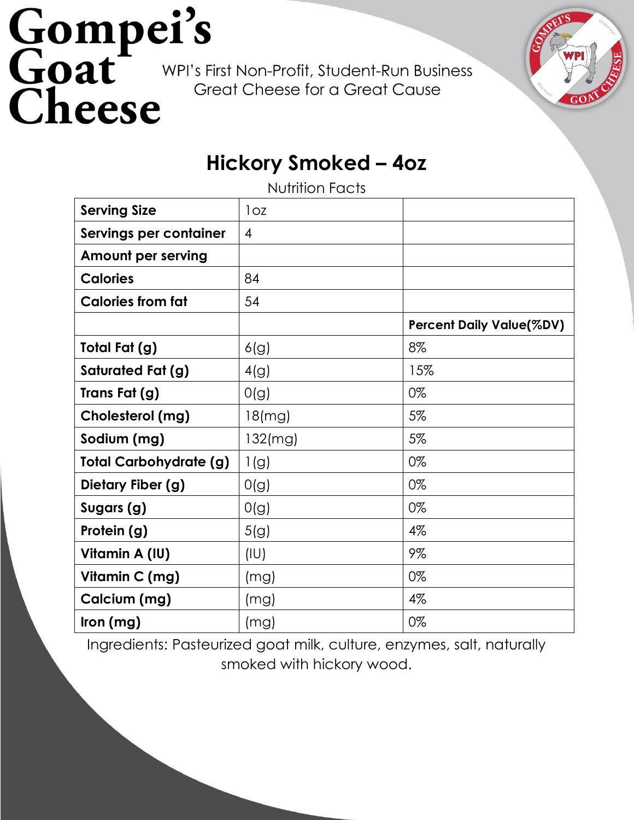

### **Hickory Smoked – 4oz**

Nutrition Facts

<span id="page-7-0"></span>

| <b>Serving Size</b>           | 1 <sub>OZ</sub> |                                 |
|-------------------------------|-----------------|---------------------------------|
| Servings per container        | $\overline{4}$  |                                 |
| <b>Amount per serving</b>     |                 |                                 |
| <b>Calories</b>               | 84              |                                 |
| <b>Calories from fat</b>      | 54              |                                 |
|                               |                 | <b>Percent Daily Value(%DV)</b> |
| Total Fat (g)                 | 6(g)            | 8%                              |
| Saturated Fat (g)             | 4(g)            | 15%                             |
| Trans Fat (g)                 | O(g)            | 0%                              |
| Cholesterol (mg)              | $18$ (mg)       | 5%                              |
| Sodium (mg)                   | 132(mg)         | 5%                              |
| <b>Total Carbohydrate (g)</b> | 1(g)            | 0%                              |
| Dietary Fiber (g)             | O(g)            | 0%                              |
| Sugars (g)                    | O(g)            | 0%                              |
| Protein (g)                   | 5(g)            | $4\%$                           |
| Vitamin A (IU)                | (IU)            | 9%                              |
| Vitamin C (mg)                | (mg)            | 0%                              |
| Calcium (mg)                  | (mg)            | $4\%$                           |
| Iron $(mg)$                   | (mg)            | 0%                              |

Ingredients: Pasteurized goat milk, culture, enzymes, salt, naturally smoked with hickory wood.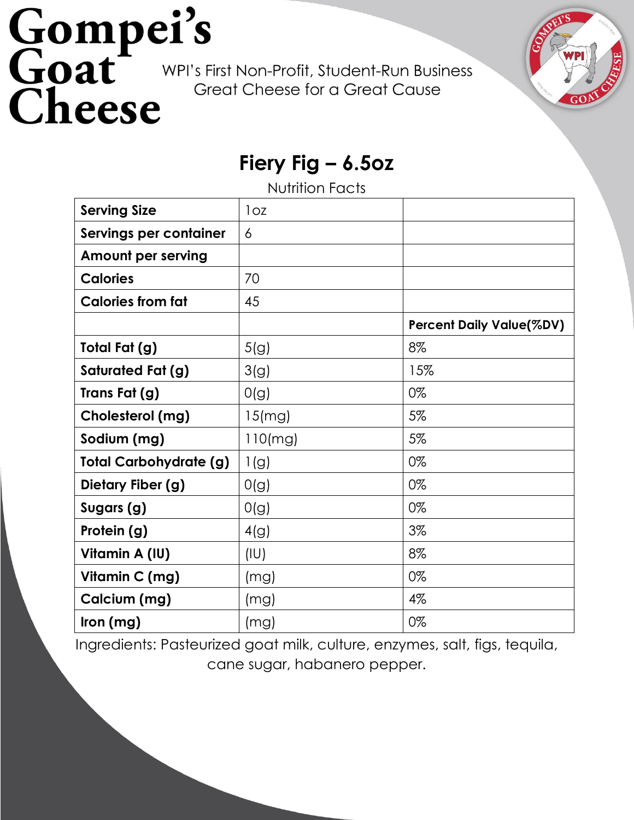### **Gompei's**<br>
Goat<br> *Cheese* for a Great Cause<br> *Cheese*<br> *Cheese*



### **Fiery Fig – 6.5oz**

Nutrition Facts

<span id="page-8-0"></span>

| <b>Serving Size</b>           | 1 <sub>OZ</sub> |                                 |
|-------------------------------|-----------------|---------------------------------|
| Servings per container        | 6               |                                 |
| <b>Amount per serving</b>     |                 |                                 |
| <b>Calories</b>               | 70              |                                 |
| <b>Calories from fat</b>      | 45              |                                 |
|                               |                 | <b>Percent Daily Value(%DV)</b> |
| Total Fat (g)                 | 5(g)            | 8%                              |
| Saturated Fat (g)             | 3(g)            | 15%                             |
| Trans Fat (g)                 | O(g)            | 0%                              |
| Cholesterol (mg)              | 15(mg)          | 5%                              |
| Sodium (mg)                   | $110$ (mg)      | 5%                              |
| <b>Total Carbohydrate (g)</b> | 1(g)            | 0%                              |
| Dietary Fiber (g)             | O(g)            | 0%                              |
| Sugars (g)                    | O(g)            | 0%                              |
| Protein (g)                   | 4(g)            | 3%                              |
| Vitamin A (IU)                | (IU)            | 8%                              |
| Vitamin C (mg)                | (mg)            | 0%                              |
| Calcium (mg)                  | (mg)            | 4%                              |
| Iron (mg)                     | (mg)            | 0%                              |

Ingredients: Pasteurized goat milk, culture, enzymes, salt, figs, tequila, cane sugar, habanero pepper.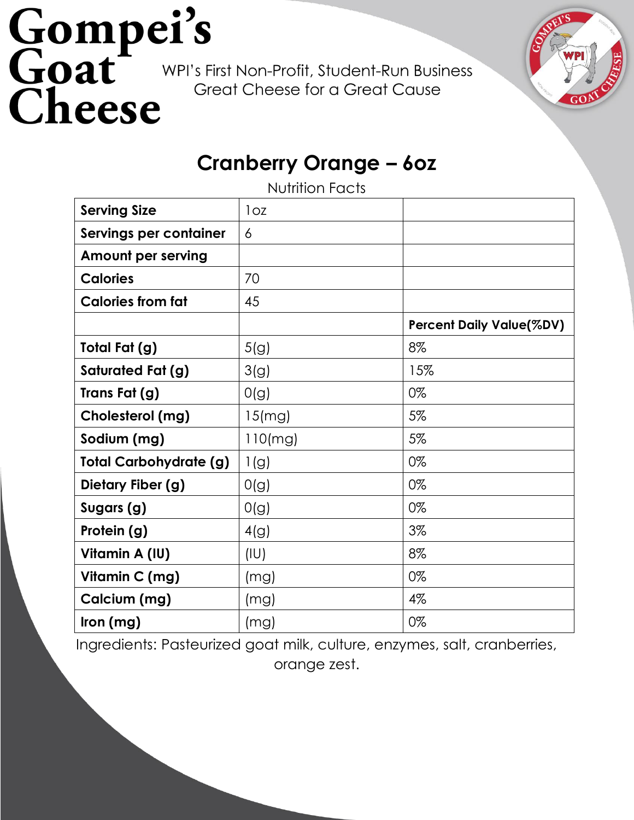

#### **Cranberry Orange – 6oz**

Nutrition Facts

<span id="page-9-0"></span>

| <b>Serving Size</b>           | 1 <sub>oz</sub> |                                 |
|-------------------------------|-----------------|---------------------------------|
| Servings per container        | 6               |                                 |
| <b>Amount per serving</b>     |                 |                                 |
| <b>Calories</b>               | 70              |                                 |
| <b>Calories from fat</b>      | 45              |                                 |
|                               |                 | <b>Percent Daily Value(%DV)</b> |
| Total Fat (g)                 | 5(g)            | 8%                              |
| Saturated Fat (g)             | 3(g)            | 15%                             |
| Trans Fat (g)                 | O(g)            | 0%                              |
| Cholesterol (mg)              | 15(mg)          | 5%                              |
| Sodium (mg)                   | 110(mg)         | 5%                              |
| <b>Total Carbohydrate (g)</b> | 1(g)            | 0%                              |
| Dietary Fiber (g)             | O(g)            | 0%                              |
| Sugars (g)                    | O(g)            | 0%                              |
| Protein (g)                   | 4(g)            | 3%                              |
| Vitamin A (IU)                | (IU)            | 8%                              |
| Vitamin C (mg)                | (mg)            | 0%                              |
| Calcium (mg)                  | (mg)            | 4%                              |
| Iron (mg)                     | (mg)            | 0%                              |

Ingredients: Pasteurized goat milk, culture, enzymes, salt, cranberries, orange zest.